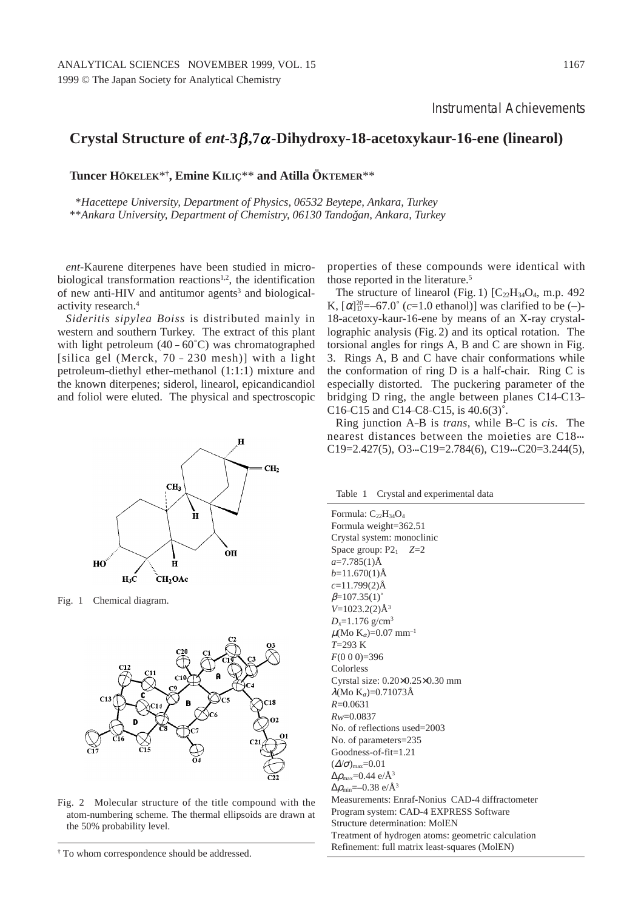Instrumental Achievements

## **Crystal Structure of** *ent***-3β,7α-Dihydroxy-18-acetoxykaur-16-ene (linearol)**

**Tuncer HÖKELEK**\***†, Emine KILIÇ**\*\* **and Atilla ÖKTEMER**\*\*

\**Hacettepe University, Department of Physics, 06532 Beytepe, Ankara, Turkey* \*\**Ankara University, Department of Chemistry, 06130 Tandoğan, Ankara, Turkey* 

*ent*-Kaurene diterpenes have been studied in microbiological transformation reactions<sup>1,2</sup>, the identification of new anti-HIV and antitumor agents<sup>3</sup> and biologicalactivity research.4

*Sideritis sipylea Boiss* is distributed mainly in western and southern Turkey. The extract of this plant with light petroleum  $(40 - 60^{\circ}C)$  was chromatographed [silica gel (Merck, 70 – 230 mesh)] with a light petroleum–diethyl ether–methanol (1:1:1) mixture and the known diterpenes; siderol, linearol, epicandicandiol and foliol were eluted. The physical and spectroscopic



Fig. 1 Chemical diagram.



Fig. 2 Molecular structure of the title compound with the atom-numbering scheme. The thermal ellipsoids are drawn at the 50% probability level.

properties of these compounds were identical with those reported in the literature.<sup>5</sup>

The structure of linearol (Fig. 1)  $[C_{22}H_{34}O_4, m.p. 492]$ K,  $[\alpha]_{D}^{20} = -67.0^{\circ}$  (*c*=1.0 ethanol)] was clarified to be (-)-18-acetoxy-kaur-16-ene by means of an X-ray crystallographic analysis (Fig. 2) and its optical rotation. The torsional angles for rings A, B and C are shown in Fig. 3. Rings A, B and C have chair conformations while the conformation of ring D is a half-chair. Ring C is especially distorted. The puckering parameter of the bridging D ring, the angle between planes C14–C13– C16–C15 and C14–C8–C15, is 40.6(3)˚.

Ring junction A–B is *trans*, while B–C is *cis*. The nearest distances between the moieties are C18 C19=2.427(5), O3. C19=2.784(6), C19. C20=3.244(5),

Table 1 Crystal and experimental data

Formula:  $C_{22}H_{34}O_4$ Formula weight=362.51 Crystal system: monoclinic Space group:  $P2_1$   $Z=2$ *a*=7.785(1)Å  $b=11.670(1)$ Å *c*=11.799(2)Å  $\beta = 107.35(1)^{\circ}$ *V*=1023.2(2)Å3  $D_x = 1.176$  g/cm<sup>3</sup>  $\mu$ (Mo K<sub> $\alpha$ </sub>)=0.07 mm<sup>-1</sup> *T*=293 K *F*(0 0 0)=396 Colorless Cyrstal size: 0.20×0.25×0.30 mm λ(Μο Κ<sub>α</sub>)=0.71073Å *R*=0.0631 *Rw*=0.0837 No. of reflections used=2003 No. of parameters=235 Goodness-of-fit=1.21  $(\Delta/\sigma)_{\text{max}}$ =0.01  $\Delta\rho_\text{max}{=}0.44$  e/Å $^3$  $\Delta\rho_{\rm min}$ =–0.38 e/Å $^3$ Measurements: Enraf-Nonius CAD-4 diffractometer Program system: CAD-4 EXPRESS Software Structure determination: MolEN Treatment of hydrogen atoms: geometric calculation Refinement: full matrix least-squares (MolEN)

**<sup>†</sup>** To whom correspondence should be addressed.